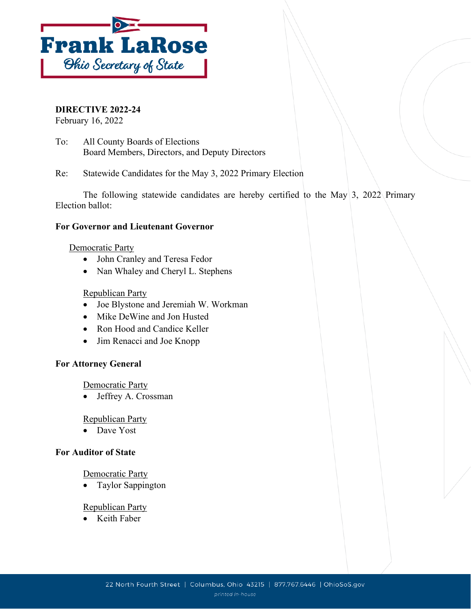

**DIRECTIVE 2022-24**

February 16, 2022

To: All County Boards of Elections Board Members, Directors, and Deputy Directors

Re: Statewide Candidates for the May 3, 2022 Primary Election

The following statewide candidates are hereby certified to the May  $3$ , 2022 Primary Election ballot:

## **For Governor and Lieutenant Governor**

### Democratic Party

- John Cranley and Teresa Fedor
- Nan Whaley and Cheryl L. Stephens

### Republican Party

- Joe Blystone and Jeremiah W. Workman
- Mike DeWine and Jon Husted
- Ron Hood and Candice Keller
- Jim Renacci and Joe Knopp

### **For Attorney General**

Democratic Party

• Jeffrey A. Crossman

### Republican Party

• Dave Yost

### **For Auditor of State**

### Democratic Party

• Taylor Sappington

### Republican Party

• Keith Faber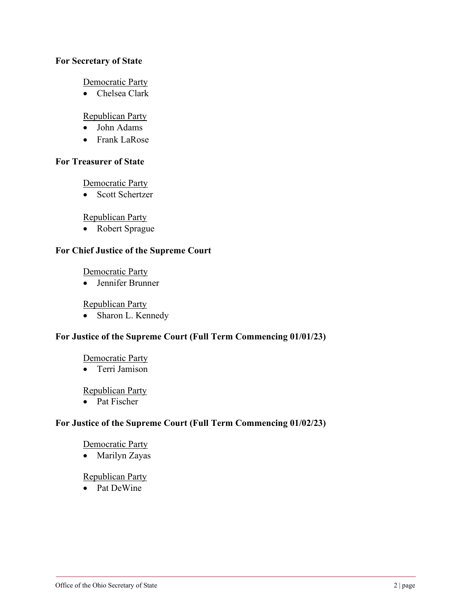### **For Secretary of State**

Democratic Party

• Chelsea Clark

# Republican Party

- John Adams
- Frank LaRose

### **For Treasurer of State**

Democratic Party

• Scott Schertzer

Republican Party

• Robert Sprague

# **For Chief Justice of the Supreme Court**

Democratic Party

• Jennifer Brunner

Republican Party

• Sharon L. Kennedy

## **For Justice of the Supreme Court (Full Term Commencing 01/01/23)**

### Democratic Party

• Terri Jamison

### Republican Party

• Pat Fischer

## **For Justice of the Supreme Court (Full Term Commencing 01/02/23)**

### Democratic Party

• Marilyn Zayas

#### Republican Party

• Pat DeWine